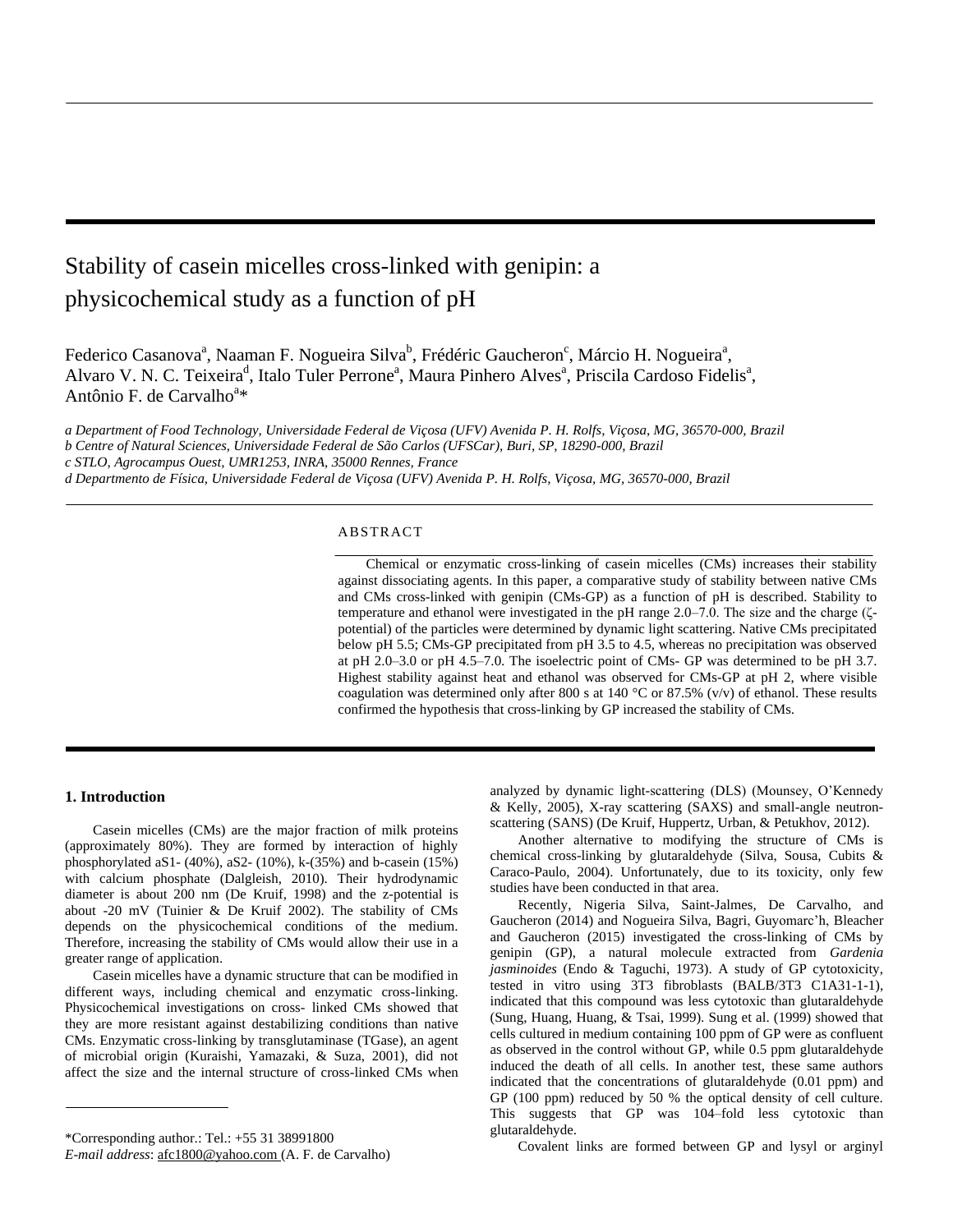# Stability of casein micelles cross-linked with genipin: a physicochemical study as a function of pH

Federico Casanova<sup>a</sup>, Naaman F. Nogueira Silva<sup>b</sup>, Frédéric Gaucheron<sup>c</sup>, Márcio H. Nogueira<sup>a</sup>, Alvaro V. N. C. Teixeira<sup>d</sup>, Italo Tuler Perrone<sup>a</sup>, Maura Pinhero Alves<sup>a</sup>, Priscila Cardoso Fidelis<sup>a</sup>, Antônio F. de Carvalho<sup>a\*</sup>

*a Department of Food Technology, Universidade Federal de Viçosa (UFV) Avenida P. H. Rolfs, Viçosa, MG, 36570-000, Brazil b Centre of Natural Sciences, Universidade Federal de São Carlos (UFSCar), Buri, SP, 18290-000, Brazil c STLO, Agrocampus Ouest, UMR1253, INRA, 35000 Rennes, France d Departmento de Física, Universidade Federal de Viçosa (UFV) Avenida P. H. Rolfs, Viçosa, MG, 36570-000, Brazil*

## ABSTRACT

Chemical or enzymatic cross-linking of casein micelles (CMs) increases their stability against dissociating agents. In this paper, a comparative study of stability between native CMs and CMs cross-linked with genipin (CMs-GP) as a function of pH is described. Stability to temperature and ethanol were investigated in the pH range 2.0–7.0. The size and the charge (ζpotential) of the particles were determined by dynamic light scattering. Native CMs precipitated below pH 5.5; CMs-GP precipitated from pH 3.5 to 4.5, whereas no precipitation was observed at pH 2.0–3.0 or pH 4.5–7.0. The isoelectric point of CMs- GP was determined to be pH 3.7. Highest stability against heat and ethanol was observed for CMs-GP at pH 2, where visible coagulation was determined only after 800 s at 140 °C or 87.5% (v/v) of ethanol. These results confirmed the hypothesis that cross-linking by GP increased the stability of CMs.

# **1. Introduction**

Casein micelles (CMs) are the major fraction of milk proteins (approximately 80%). They are formed by interaction of highly phosphorylated aS1- (40%), aS2- (10%), k-(35%) and b-casein (15%) with calcium phosphate (Dalgleish, 2010). Their hydrodynamic diameter is about 200 nm (De Kruif, 1998) and the z-potential is about -20 mV (Tuinier & De Kruif 2002). The stability of CMs depends on the physicochemical conditions of the medium. Therefore, increasing the stability of CMs would allow their use in a greater range of application.

Casein micelles have a dynamic structure that can be modified in different ways, including chemical and enzymatic cross-linking. Physicochemical investigations on cross- linked CMs showed that they are more resistant against destabilizing conditions than native CMs. Enzymatic cross-linking by transglutaminase (TGase), an agent of microbial origin (Kuraishi, Yamazaki, & Suza, 2001), did not affect the size and the internal structure of cross-linked CMs when

analyzed by dynamic light-scattering (DLS) (Mounsey, O'Kennedy & Kelly, 2005), X-ray scattering (SAXS) and small-angle neutronscattering (SANS) (De Kruif, Huppertz, Urban, & Petukhov, 2012).

Another alternative to modifying the structure of CMs is chemical cross-linking by glutaraldehyde (Silva, Sousa, Cubits & Caraco-Paulo, 2004). Unfortunately, due to its toxicity, only few studies have been conducted in that area.

Recently, Nigeria Silva, Saint-Jalmes, De Carvalho, and Gaucheron (2014) and Nogueira Silva, Bagri, Guyomarc'h, Bleacher and Gaucheron (2015) investigated the cross-linking of CMs by genipin (GP), a natural molecule extracted from *Gardenia jasminoides* (Endo & Taguchi, 1973). A study of GP cytotoxicity, tested in vitro using 3T3 fibroblasts (BALB/3T3 C1A31-1-1), indicated that this compound was less cytotoxic than glutaraldehyde (Sung, Huang, Huang, & Tsai, 1999). Sung et al. (1999) showed that cells cultured in medium containing 100 ppm of GP were as confluent as observed in the control without GP, while 0.5 ppm glutaraldehyde induced the death of all cells. In another test, these same authors indicated that the concentrations of glutaraldehyde (0.01 ppm) and GP (100 ppm) reduced by 50 % the optical density of cell culture. This suggests that GP was 104–fold less cytotoxic than glutaraldehyde.

Covalent links are formed between GP and lysyl or arginyl

<sup>\*</sup>Corresponding author.: Tel.: +55 31 38991800

*E-mail address*[: afc1800@yahoo.com \(](mailto:afc1800@yahoo.com)A. F. de Carvalho)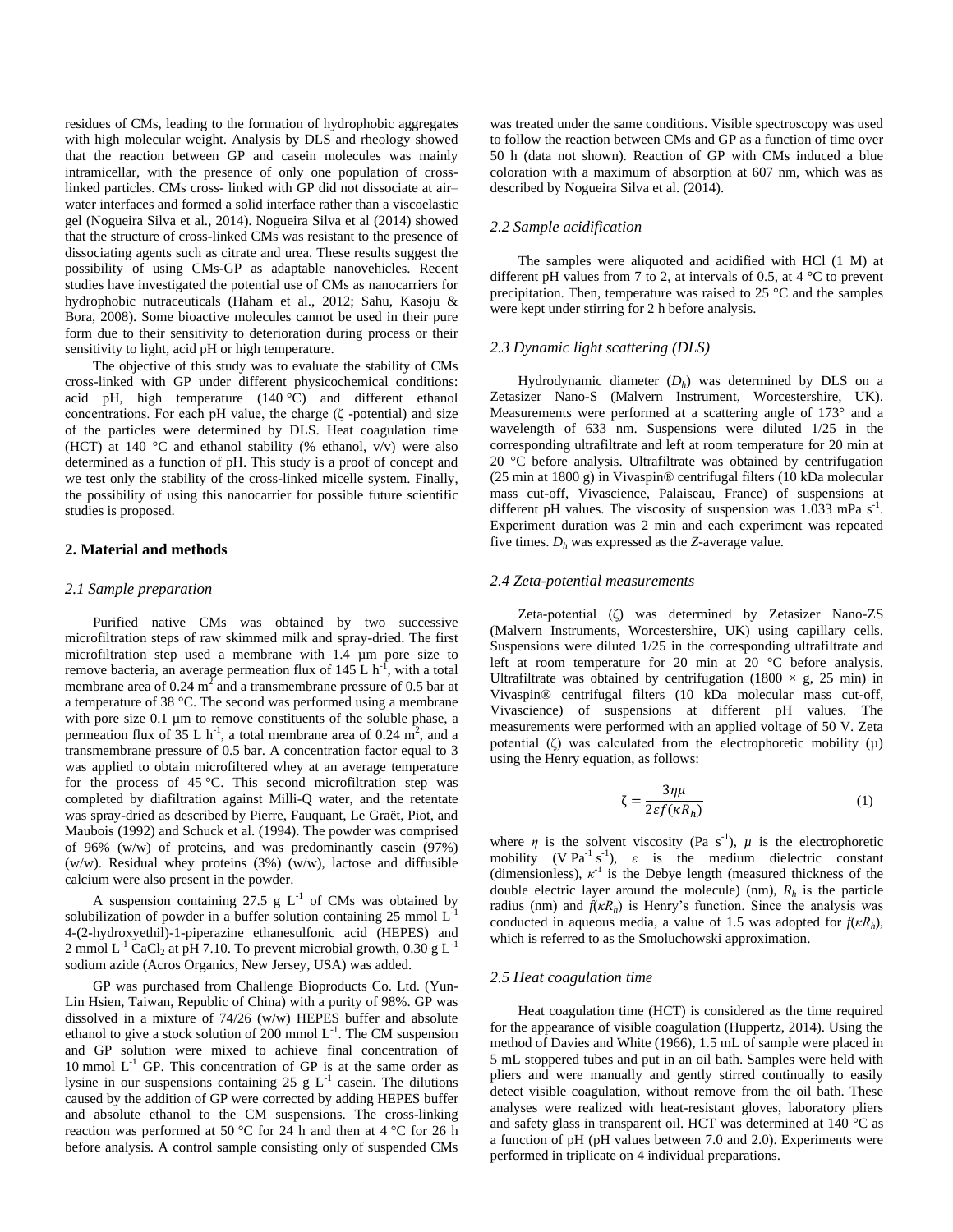residues of CMs, leading to the formation of hydrophobic aggregates with high molecular weight. Analysis by DLS and rheology showed that the reaction between GP and casein molecules was mainly intramicellar, with the presence of only one population of crosslinked particles. CMs cross- linked with GP did not dissociate at air– water interfaces and formed a solid interface rather than a viscoelastic gel (Nogueira Silva et al., 2014). Nogueira Silva et al (2014) showed that the structure of cross-linked CMs was resistant to the presence of dissociating agents such as citrate and urea. These results suggest the possibility of using CMs-GP as adaptable nanovehicles. Recent studies have investigated the potential use of CMs as nanocarriers for hydrophobic nutraceuticals (Haham et al., 2012; Sahu, Kasoju & Bora, 2008). Some bioactive molecules cannot be used in their pure form due to their sensitivity to deterioration during process or their sensitivity to light, acid pH or high temperature.

The objective of this study was to evaluate the stability of CMs cross-linked with GP under different physicochemical conditions: acid pH, high temperature (140 °C) and different ethanol concentrations. For each pH value, the charge  $(\zeta$ -potential) and size of the particles were determined by DLS. Heat coagulation time (HCT) at 140 °C and ethanol stability (% ethanol,  $v/v$ ) were also determined as a function of pH. This study is a proof of concept and we test only the stability of the cross-linked micelle system. Finally, the possibility of using this nanocarrier for possible future scientific studies is proposed.

# **2. Material and methods**

#### *2.1 Sample preparation*

Purified native CMs was obtained by two successive microfiltration steps of raw skimmed milk and spray-dried. The first microfiltration step used a membrane with 1.4 µm pore size to remove bacteria, an average permeation flux of  $145 \text{ L h}^{-1}$ , with a total membrane area of 0.24  $m^2$  and a transmembrane pressure of 0.5 bar at a temperature of 38 °C. The second was performed using a membrane with pore size 0.1 µm to remove constituents of the soluble phase, a permeation flux of 35 L h<sup>-1</sup>, a total membrane area of 0.24 m<sup>2</sup>, and a transmembrane pressure of 0.5 bar. A concentration factor equal to 3 was applied to obtain microfiltered whey at an average temperature for the process of 45 °C. This second microfiltration step was completed by diafiltration against Milli-Q water, and the retentate was spray-dried as described by Pierre, Fauquant, Le Graët, Piot, and Maubois (1992) and Schuck et al. (1994). The powder was comprised of 96% (w/w) of proteins, and was predominantly casein (97%) (w/w). Residual whey proteins (3%) (w/w), lactose and diffusible calcium were also present in the powder.

A suspension containing 27.5 g  $L^{-1}$  of CMs was obtained by solubilization of powder in a buffer solution containing  $25 \text{ mmol L}^{-1}$ 4-(2-hydroxyethil)-1-piperazine ethanesulfonic acid (HEPES) and 2 mmol  $L^{-1}$  CaCl<sub>2</sub> at pH 7.10. To prevent microbial growth, 0.30 g  $L^{-1}$ sodium azide (Acros Organics, New Jersey, USA) was added.

GP was purchased from Challenge Bioproducts Co. Ltd. (Yun-Lin Hsien, Taiwan, Republic of China) with a purity of 98%. GP was dissolved in a mixture of 74/26 (w/w) HEPES buffer and absolute ethanol to give a stock solution of 200 mmol  $L^{-1}$ . The CM suspension and GP solution were mixed to achieve final concentration of 10 mmol  $L^{-1}$  GP. This concentration of GP is at the same order as lysine in our suspensions containing 25 g  $L^{-1}$  casein. The dilutions caused by the addition of GP were corrected by adding HEPES buffer and absolute ethanol to the CM suspensions. The cross-linking reaction was performed at 50 °C for 24 h and then at 4 °C for 26 h before analysis. A control sample consisting only of suspended CMs

was treated under the same conditions. Visible spectroscopy was used to follow the reaction between CMs and GP as a function of time over 50 h (data not shown). Reaction of GP with CMs induced a blue coloration with a maximum of absorption at 607 nm, which was as described by Nogueira Silva et al. (2014).

# *2.2 Sample acidification*

The samples were aliquoted and acidified with HCl (1 M) at different pH values from 7 to 2, at intervals of 0.5, at 4 °C to prevent precipitation. Then, temperature was raised to 25 °C and the samples were kept under stirring for 2 h before analysis.

#### *2.3 Dynamic light scattering (DLS)*

Hydrodynamic diameter (*Dh*) was determined by DLS on a Zetasizer Nano-S (Malvern Instrument, Worcestershire, UK). Measurements were performed at a scattering angle of 173° and a wavelength of 633 nm. Suspensions were diluted 1/25 in the corresponding ultrafiltrate and left at room temperature for 20 min at 20 °C before analysis. Ultrafiltrate was obtained by centrifugation (25 min at 1800 g) in Vivaspin® centrifugal filters (10 kDa molecular mass cut-off, Vivascience, Palaiseau, France) of suspensions at different pH values. The viscosity of suspension was  $1.033$  mPa s<sup>-1</sup>. Experiment duration was 2 min and each experiment was repeated five times. *D<sup>h</sup>* was expressed as the *Z-*average value.

## *2.4 Zeta-potential measurements*

Zeta-potential (ζ) was determined by Zetasizer Nano-ZS (Malvern Instruments, Worcestershire, UK) using capillary cells. Suspensions were diluted 1/25 in the corresponding ultrafiltrate and left at room temperature for 20 min at 20 °C before analysis. Ultrafiltrate was obtained by centrifugation (1800  $\times$  g, 25 min) in Vivaspin® centrifugal filters (10 kDa molecular mass cut-off, Vivascience) of suspensions at different pH values. The measurements were performed with an applied voltage of 50 V. Zeta potential  $(\zeta)$  was calculated from the electrophoretic mobility  $(\mu)$ using the Henry equation, as follows:

$$
\zeta = \frac{3\eta\mu}{2\varepsilon f(\kappa R_h)}\tag{1}
$$

where  $\eta$  is the solvent viscosity (Pa s<sup>-1</sup>),  $\mu$  is the electrophoretic mobility (V Pa<sup>-1</sup> s<sup>-1</sup>),  $\varepsilon$  is the medium dielectric constant (dimensionless),  $\kappa^{-1}$  is the Debye length (measured thickness of the double electric layer around the molecule) (nm),  $R_h$  is the particle radius (nm) and  $f(kR_h)$  is Henry's function. Since the analysis was conducted in aqueous media, a value of 1.5 was adopted for  $f(\kappa R_h)$ , which is referred to as the Smoluchowski approximation.

#### *2.5 Heat coagulation time*

Heat coagulation time (HCT) is considered as the time required for the appearance of visible coagulation (Huppertz, 2014). Using the method of Davies and White (1966)*,* 1.5 mL of sample were placed in 5 mL stoppered tubes and put in an oil bath. Samples were held with pliers and were manually and gently stirred continually to easily detect visible coagulation, without remove from the oil bath. These analyses were realized with heat-resistant gloves, laboratory pliers and safety glass in transparent oil. HCT was determined at 140 °C as a function of pH (pH values between 7.0 and 2.0). Experiments were performed in triplicate on 4 individual preparations.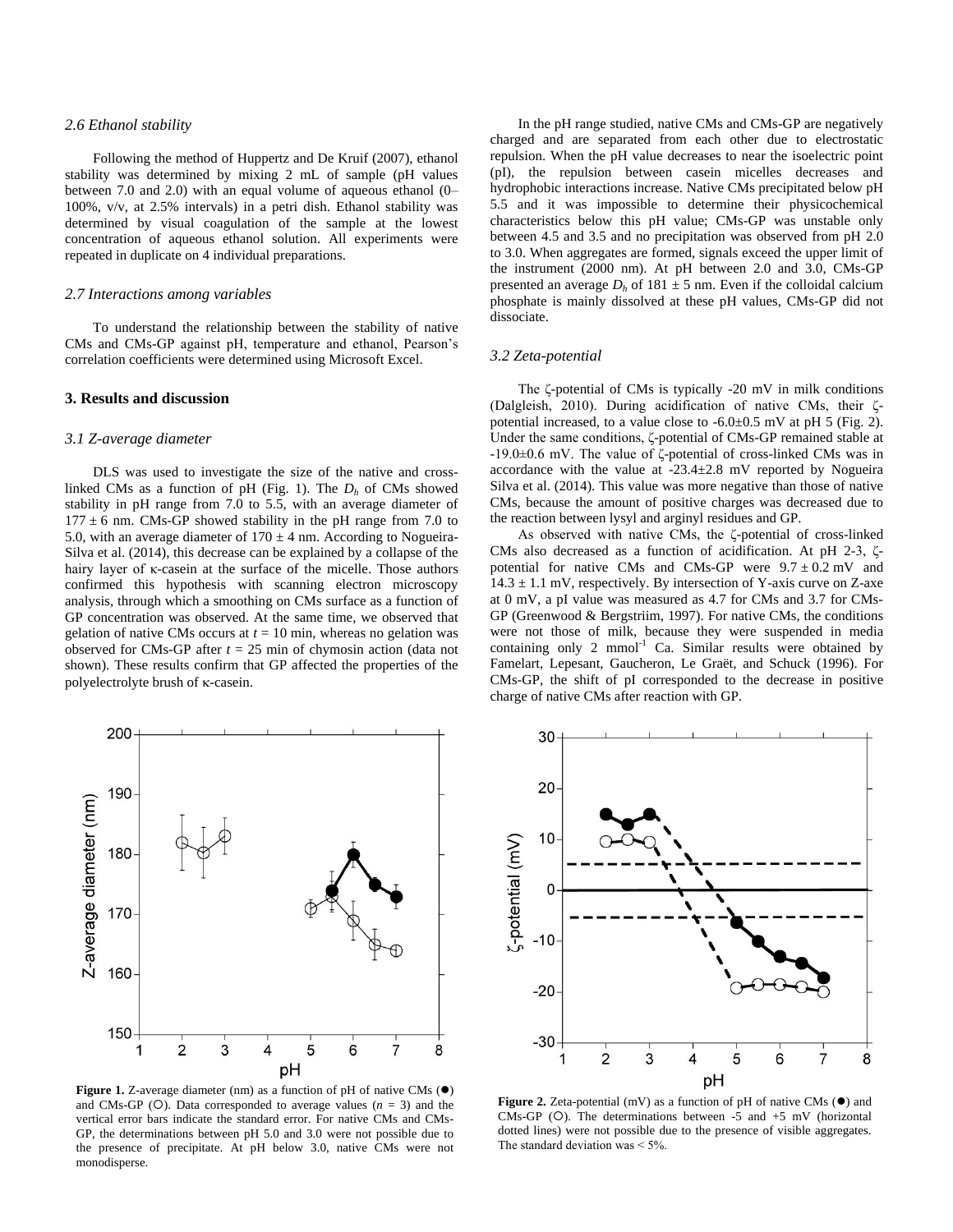## *2.6 Ethanol stability*

Following the method of Huppertz and De Kruif (2007), ethanol stability was determined by mixing 2 mL of sample (pH values between 7.0 and 2.0) with an equal volume of aqueous ethanol (0– 100%, v/v, at 2.5% intervals) in a petri dish. Ethanol stability was determined by visual coagulation of the sample at the lowest concentration of aqueous ethanol solution. All experiments were repeated in duplicate on 4 individual preparations.

#### *2.7 Interactions among variables*

To understand the relationship between the stability of native CMs and CMs-GP against pH, temperature and ethanol, Pearson's correlation coefficients were determined using Microsoft Excel.

## **3. Results and discussion**

## *3.1 Z-average diameter*

DLS was used to investigate the size of the native and crosslinked CMs as a function of pH (Fig. 1). The  $D_h$  of CMs showed stability in pH range from 7.0 to 5.5, with an average diameter of  $177 \pm 6$  nm. CMs-GP showed stability in the pH range from 7.0 to 5.0, with an average diameter of  $170 \pm 4$  nm. According to Nogueira-Silva et al. (2014), this decrease can be explained by a collapse of the hairy layer of κ-casein at the surface of the micelle. Those authors confirmed this hypothesis with scanning electron microscopy analysis, through which a smoothing on CMs surface as a function of GP concentration was observed. At the same time, we observed that gelation of native CMs occurs at  $t = 10$  min, whereas no gelation was observed for CMs-GP after  $t = 25$  min of chymosin action (data not shown). These results confirm that GP affected the properties of the polyelectrolyte brush of  $\kappa$ -casein.

In the pH range studied, native CMs and CMs-GP are negatively charged and are separated from each other due to electrostatic repulsion. When the pH value decreases to near the isoelectric point (pI), the repulsion between casein micelles decreases and hydrophobic interactions increase. Native CMs precipitated below pH 5.5 and it was impossible to determine their physicochemical characteristics below this pH value; CMs-GP was unstable only between 4.5 and 3.5 and no precipitation was observed from pH 2.0 to 3.0. When aggregates are formed, signals exceed the upper limit of the instrument (2000 nm). At pH between 2.0 and 3.0, CMs-GP presented an average  $D_h$  of 181  $\pm$  5 nm. Even if the colloidal calcium phosphate is mainly dissolved at these pH values, CMs-GP did not dissociate.

#### *3.2 Zeta-potential*

The ζ-potential of CMs is typically -20 mV in milk conditions (Dalgleish, 2010). During acidification of native CMs, their ζpotential increased, to a value close to  $-6.0\pm0.5$  mV at pH 5 (Fig. 2). Under the same conditions, ζ-potential of CMs-GP remained stable at -19.0±0.6 mV. The value of ζ-potential of cross-linked CMs was in accordance with the value at -23.4±2.8 mV reported by Nogueira Silva et al. (2014). This value was more negative than those of native CMs, because the amount of positive charges was decreased due to the reaction between lysyl and arginyl residues and GP.

As observed with native CMs, the ζ-potential of cross-linked CMs also decreased as a function of acidification. At pH 2-3, ζpotential for native CMs and CMs-GP were  $9.7 \pm 0.2$  mV and  $14.3 \pm 1.1$  mV, respectively. By intersection of Y-axis curve on Z-axe at 0 mV, a pI value was measured as 4.7 for CMs and 3.7 for CMs-GP (Greenwood & Bergstriim, 1997). For native CMs, the conditions were not those of milk, because they were suspended in media containing only  $2 \text{ mmol}^{-1}$  Ca. Similar results were obtained by Famelart, Lepesant, Gaucheron, Le Graët, and Schuck (1996). For CMs-GP, the shift of pI corresponded to the decrease in positive charge of native CMs after reaction with GP.



**Figure 1.** Z-average diameter (nm) as a function of pH of native CMs ( $\bullet$ ) and CMs-GP (O). Data corresponded to average values  $(n = 3)$  and the vertical error bars indicate the standard error. For native CMs and CMs-GP, the determinations between pH 5.0 and 3.0 were not possible due to the presence of precipitate. At pH below 3.0, native CMs were not monodisperse.



**Figure 2.** Zeta-potential (mV) as a function of pH of native CMs  $(\bullet)$  and CMs-GP ( $O$ ). The determinations between -5 and +5 mV (horizontal dotted lines) were not possible due to the presence of visible aggregates. The standard deviation was  $\leq 5\%$ .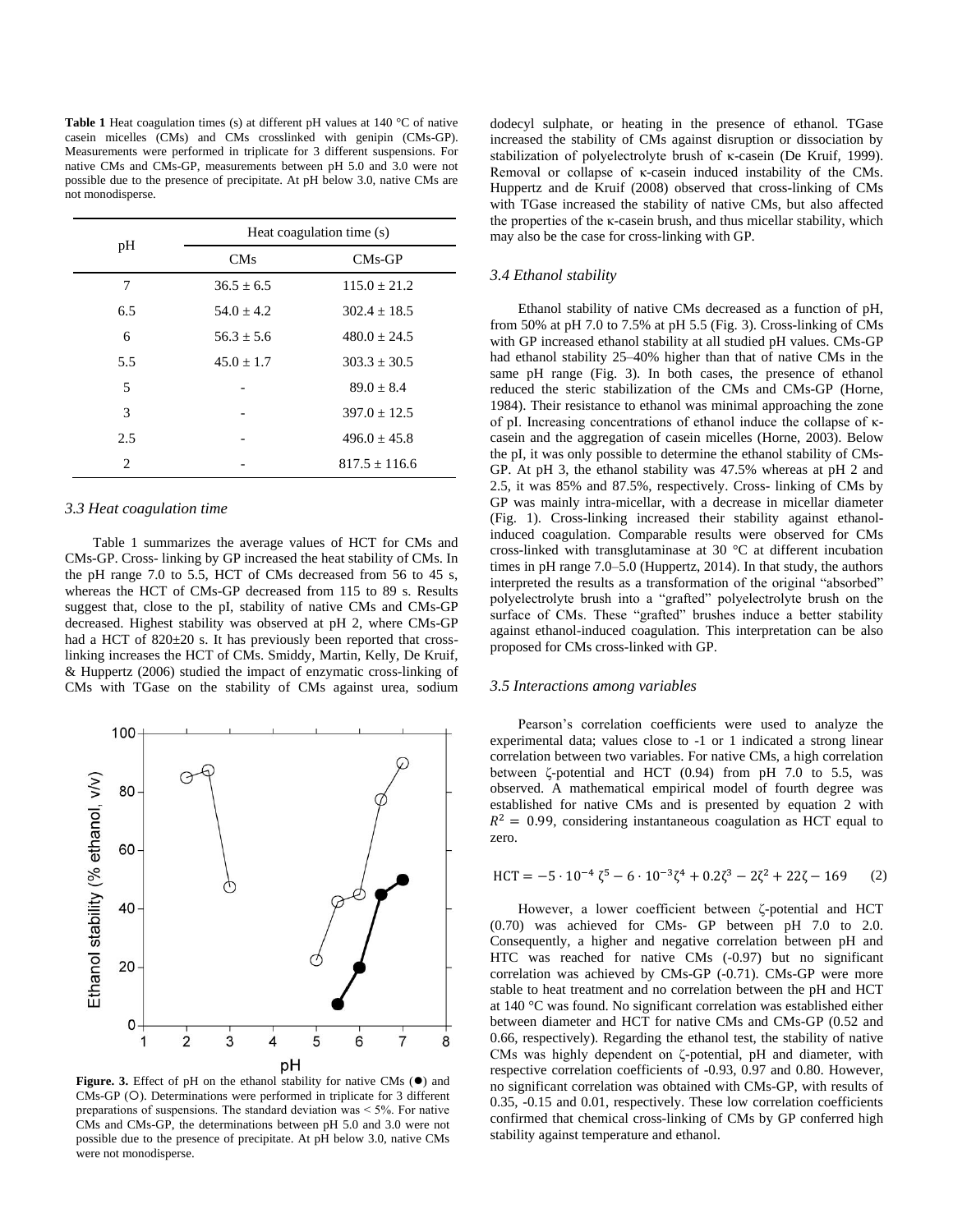**Table 1** Heat coagulation times (s) at different pH values at 140 °C of native casein micelles (CMs) and CMs crosslinked with genipin (CMs-GP). Measurements were performed in triplicate for 3 different suspensions. For native CMs and CMs-GP, measurements between pH 5.0 and 3.0 were not possible due to the presence of precipitate. At pH below 3.0, native CMs are not monodisperse.

| pH                          | Heat coagulation time (s) |                  |
|-----------------------------|---------------------------|------------------|
|                             | <b>CMs</b>                | $CMs-GP$         |
| 7                           | $36.5 + 6.5$              | $115.0 + 21.2$   |
| 6.5                         | $54.0 + 4.2$              | $302.4 + 18.5$   |
| 6                           | $56.3 + 5.6$              | $480.0 + 24.5$   |
| 5.5                         | $45.0 \pm 1.7$            | $303.3 \pm 30.5$ |
| 5                           |                           | $89.0 \pm 8.4$   |
| 3                           |                           | $397.0 + 12.5$   |
| 2.5                         |                           | $496.0 + 45.8$   |
| $\mathcal{D}_{\mathcal{L}}$ |                           | $817.5 + 116.6$  |

# *3.3 Heat coagulation time*

Table 1 summarizes the average values of HCT for CMs and CMs-GP. Cross- linking by GP increased the heat stability of CMs. In the pH range 7.0 to 5.5, HCT of CMs decreased from 56 to 45 s, whereas the HCT of CMs-GP decreased from 115 to 89 s. Results suggest that, close to the pI, stability of native CMs and CMs-GP decreased. Highest stability was observed at pH 2, where CMs-GP had a HCT of 820 $\pm$ 20 s. It has previously been reported that crosslinking increases the HCT of CMs. Smiddy, Martin, Kelly, De Kruif, & Huppertz (2006) studied the impact of enzymatic cross-linking of CMs with TGase on the stability of CMs against urea, sodium



Figure. 3. Effect of pH on the ethanol stability for native CMs ( $\bullet$ ) and CMs-GP (O). Determinations were performed in triplicate for 3 different preparations of suspensions. The standard deviation was ˂ 5%. For native CMs and CMs-GP, the determinations between pH 5.0 and 3.0 were not possible due to the presence of precipitate. At pH below 3.0, native CMs were not monodisperse.

dodecyl sulphate, or heating in the presence of ethanol. TGase increased the stability of CMs against disruption or dissociation by stabilization of polyelectrolyte brush of κ-casein (De Kruif, 1999). Removal or collapse of κ-casein induced instability of the CMs. Huppertz and de Kruif (2008) observed that cross-linking of CMs with TGase increased the stability of native CMs, but also affected the properties of the κ-casein brush, and thus micellar stability, which may also be the case for cross-linking with GP.

# *3.4 Ethanol stability*

Ethanol stability of native CMs decreased as a function of pH, from 50% at pH 7.0 to 7.5% at pH 5.5 (Fig. 3). Cross-linking of CMs with GP increased ethanol stability at all studied pH values. CMs-GP had ethanol stability 25–40% higher than that of native CMs in the same pH range (Fig. 3). In both cases, the presence of ethanol reduced the steric stabilization of the CMs and CMs-GP (Horne, 1984). Their resistance to ethanol was minimal approaching the zone of pI. Increasing concentrations of ethanol induce the collapse of κcasein and the aggregation of casein micelles (Horne, 2003). Below the pI, it was only possible to determine the ethanol stability of CMs-GP. At pH 3, the ethanol stability was 47.5% whereas at pH 2 and 2.5, it was 85% and 87.5%, respectively. Cross- linking of CMs by GP was mainly intra-micellar, with a decrease in micellar diameter (Fig. 1). Cross-linking increased their stability against ethanolinduced coagulation. Comparable results were observed for CMs cross-linked with transglutaminase at 30 °C at different incubation times in pH range 7.0–5.0 (Huppertz, 2014). In that study, the authors interpreted the results as a transformation of the original "absorbed" polyelectrolyte brush into a "grafted" polyelectrolyte brush on the surface of CMs. These "grafted" brushes induce a better stability against ethanol-induced coagulation. This interpretation can be also proposed for CMs cross-linked with GP.

## *3.5 Interactions among variables*

Pearson's correlation coefficients were used to analyze the experimental data; values close to -1 or 1 indicated a strong linear correlation between two variables. For native CMs, a high correlation between ζ-potential and HCT (0.94) from pH 7.0 to 5.5, was observed. A mathematical empirical model of fourth degree was established for native CMs and is presented by equation 2 with  $R^2 = 0.99$ , considering instantaneous coagulation as HCT equal to zero.

$$
HCT = -5 \cdot 10^{-4} \zeta^5 - 6 \cdot 10^{-3} \zeta^4 + 0.2 \zeta^3 - 2 \zeta^2 + 22 \zeta - 169 \tag{2}
$$

However, a lower coefficient between ζ-potential and HCT (0.70) was achieved for CMs- GP between pH 7.0 to 2.0. Consequently, a higher and negative correlation between pH and HTC was reached for native CMs (-0.97) but no significant correlation was achieved by CMs-GP (-0.71). CMs-GP were more stable to heat treatment and no correlation between the pH and HCT at 140 °C was found. No significant correlation was established either between diameter and HCT for native CMs and CMs-GP (0.52 and 0.66, respectively). Regarding the ethanol test, the stability of native CMs was highly dependent on ζ-potential, pH and diameter, with respective correlation coefficients of -0.93, 0.97 and 0.80. However, no significant correlation was obtained with CMs-GP, with results of 0.35, -0.15 and 0.01, respectively. These low correlation coefficients confirmed that chemical cross-linking of CMs by GP conferred high stability against temperature and ethanol.